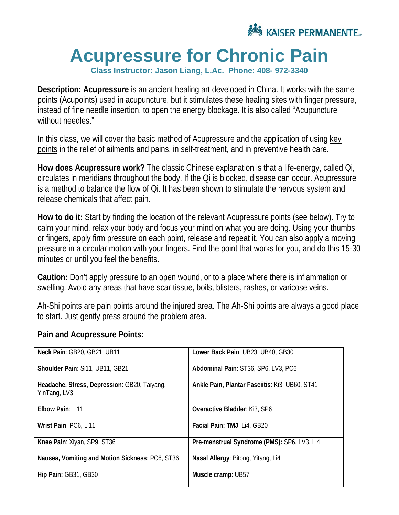

## **Acupressure for Chronic Pain**

**Class Instructor: Jason Liang, L.Ac. Phone: 408- 972-3340**

**Description: Acupressure** is an ancient healing art developed in China. It works with the same points (Acupoints) used in acupuncture, but it stimulates these healing sites with finger pressure, instead of fine needle insertion, to open the energy blockage. It is also called "Acupuncture without needles."

In this class, we will cover the basic method of Acupressure and the application of using key points in the relief of ailments and pains, in self-treatment, and in preventive health care.

**How does Acupressure work?** The classic Chinese explanation is that a life-energy, called Qi, circulates in meridians throughout the body. If the Qi is blocked, disease can occur. Acupressure is a method to balance the flow of Qi. It has been shown to stimulate the nervous system and release chemicals that affect pain.

**How to do it:** Start by finding the location of the relevant Acupressure points (see below). Try to calm your mind, relax your body and focus your mind on what you are doing. Using your thumbs or fingers, apply firm pressure on each point, release and repeat it. You can also apply a moving pressure in a circular motion with your fingers. Find the point that works for you, and do this 15-30 minutes or until you feel the benefits.

**Caution:** Don't apply pressure to an open wound, or to a place where there is inflammation or swelling. Avoid any areas that have scar tissue, boils, blisters, rashes, or varicose veins.

Ah-Shi points are pain points around the injured area. The Ah-Shi points are always a good place to start. Just gently press around the problem area.

| Neck Pain: GB20, GB21, UB11                                  | Lower Back Pain: UB23, UB40, GB30              |
|--------------------------------------------------------------|------------------------------------------------|
| Shoulder Pain: Si11, UB11, GB21                              | Abdominal Pain: ST36, SP6, LV3, PC6            |
| Headache, Stress, Depression: GB20, Taiyang,<br>YinTang, LV3 | Ankle Pain, Plantar Fasciitis: Ki3, UB60, ST41 |
| Elbow Pain: Li11                                             | Overactive Bladder: Ki3, SP6                   |
| Wrist Pain: PC6, Li11                                        | Facial Pain; TMJ: Li4, GB20                    |
| Knee Pain: Xiyan, SP9, ST36                                  | Pre-menstrual Syndrome (PMS): SP6, LV3, Li4    |
| Nausea, Vomiting and Motion Sickness: PC6, ST36              | Nasal Allergy: Bitong, Yitang, Li4             |
| Hip Pain: GB31, GB30                                         | Muscle cramp: UB57                             |

## **Pain and Acupressure Points:**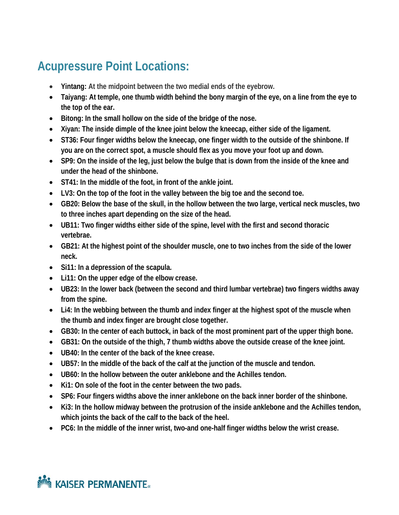## **Acupressure Point Locations:**

- **Yintang: At the midpoint between the two medial ends of the eyebrow.**
- **Taiyang: At temple, one thumb width behind the bony margin of the eye, on a line from the eye to the top of the ear.**
- **Bitong: In the small hollow on the side of the bridge of the nose.**
- **Xiyan: The inside dimple of the knee joint below the kneecap, either side of the ligament.**
- **ST36: Four finger widths below the kneecap, one finger width to the outside of the shinbone. If you are on the correct spot, a muscle should flex as you move your foot up and down.**
- **SP9: On the inside of the leg, just below the bulge that is down from the inside of the knee and under the head of the shinbone.**
- **ST41: In the middle of the foot, in front of the ankle joint.**
- **LV3: On the top of the foot in the valley between the big toe and the second toe.**
- **GB20: Below the base of the skull, in the hollow between the two large, vertical neck muscles, two to three inches apart depending on the size of the head.**
- **UB11: Two finger widths either side of the spine, level with the first and second thoracic vertebrae.**
- **GB21: At the highest point of the shoulder muscle, one to two inches from the side of the lower neck.**
- **Si11: In a depression of the scapula.**
- **Li11: On the upper edge of the elbow crease.**
- **UB23: In the lower back (between the second and third lumbar vertebrae) two fingers widths away from the spine.**
- **Li4: In the webbing between the thumb and index finger at the highest spot of the muscle when the thumb and index finger are brought close together.**
- **GB30: In the center of each buttock, in back of the most prominent part of the upper thigh bone.**
- **GB31: On the outside of the thigh, 7 thumb widths above the outside crease of the knee joint.**
- **UB40: In the center of the back of the knee crease.**
- **UB57: In the middle of the back of the calf at the junction of the muscle and tendon.**
- **UB60: In the hollow between the outer anklebone and the Achilles tendon.**
- **Ki1: On sole of the foot in the center between the two pads.**
- **SP6: Four fingers widths above the inner anklebone on the back inner border of the shinbone.**
- **Ki3: In the hollow midway between the protrusion of the inside anklebone and the Achilles tendon, which joints the back of the calf to the back of the heel.**
- **PC6: In the middle of the inner wrist, two-and one-half finger widths below the wrist crease.**